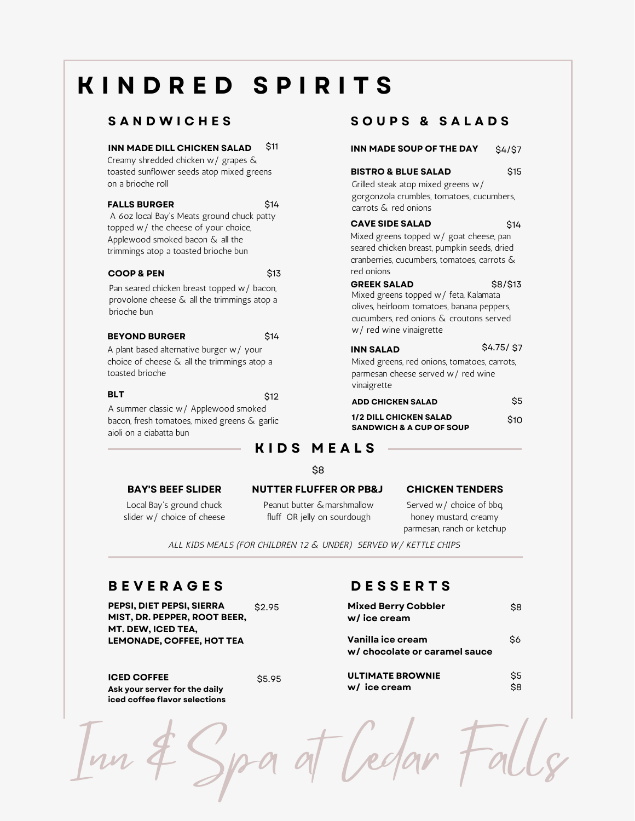# **K I N D R E D S P I R I T S**

### **S A N D W I C H E S**

### **INN MADE DILL CHICKEN SALAD** \$11

Creamy shredded chicken w/ grapes & toasted sunflower seeds atop mixed greens on a brioche roll Grilled steak atop mixed greens w/

### **FALLS BURGER**

A 6oz local Bay's Meats ground chuck patty topped w/ the cheese of your choice, Applewood smoked bacon & all the trimmings atop a toasted brioche bun

### **COOP & PEN**

\$13

\$14

Pan seared chicken breast topped w/ bacon, provolone cheese & all the trimmings atop a brioche bun

### **BEYOND BURGER** \$14

A plant based alternative burger w/ your choice of cheese & all the trimmings atop a toasted brioche

**BLT** \$12

A summer classic w/ Applewood smoked bacon, fresh tomatoes, mixed greens & garlic aioli on a ciabatta bun

### **S O U P S & S A L A D S**

### **INN MADE SOUP OF THE DAY** \$4/\$7

**BISTRO & BLUE SALAD** gorgonzola crumbles, tomatoes, cucumbers, carrots & red onions \$15

### **CAVE SIDE SALAD** \$14

Mixed greens topped w/ goat cheese, pan seared chicken breast, pumpkin seeds, dried cranberries, cucumbers, tomatoes, carrots & red onions

### \$8/\$13

Mixed greens topped w/ feta, Kalamata olives, heirloom tomatoes, banana peppers, cucumbers, red onions & croutons served w/ red wine vinaigrette

**GREEK SALAD**

| <b>INN SALAD</b>                             | S4.75/S7 |
|----------------------------------------------|----------|
| Mixed greens, red onions, tomatoes, carrots, |          |
| parmesan cheese served w/ red wine           |          |
| vinaigrette                                  |          |
|                                              |          |

| ADD CHICKEN SALAD                   | Ś5   |
|-------------------------------------|------|
| <b>1/2 DILL CHICKEN SALAD</b>       | \$10 |
| <b>SANDWICH &amp; A CUP OF SOUP</b> |      |

## **K I D S M E A L S**

\$8

fluff OR jelly on sourdough

Local Bay's ground chuck slider w/ choice of cheese

### **BAY'S BEEF SLIDER NUTTER FLUFFER OR PB&J CHICKEN TENDERS** Peanut butter &marshmallow

Served w/ choice of bbq, honey mustard, creamy parmesan, ranch or ketchup

ALL KIDS MEALS (FOR CHILDREN 12 & UNDER) SERVED W/ KETTLE CHIPS

## **B E V E R A G E S**

**PEPSI, DIET PEPSI, SIERRA MIST, DR. PEPPER, ROOT BEER, MT. DEW, ICED TEA, LEMONADE, COFFEE, HOT TEA**

**ICED COFFEE** \$5.95 **Ask your server for the daily**

**iced coffee flavor selections**

### **D E S S E R T S**

Iredar

| \$2.95 | <b>Mixed Berry Cobbler</b><br>w/ice cream          |            |
|--------|----------------------------------------------------|------------|
|        | Vanilla ice cream<br>w/ chocolate or caramel sauce | \$6        |
| \$5.95 | <b>ULTIMATE BROWNIE</b><br>w/ ice cream            | \$5<br>\$8 |